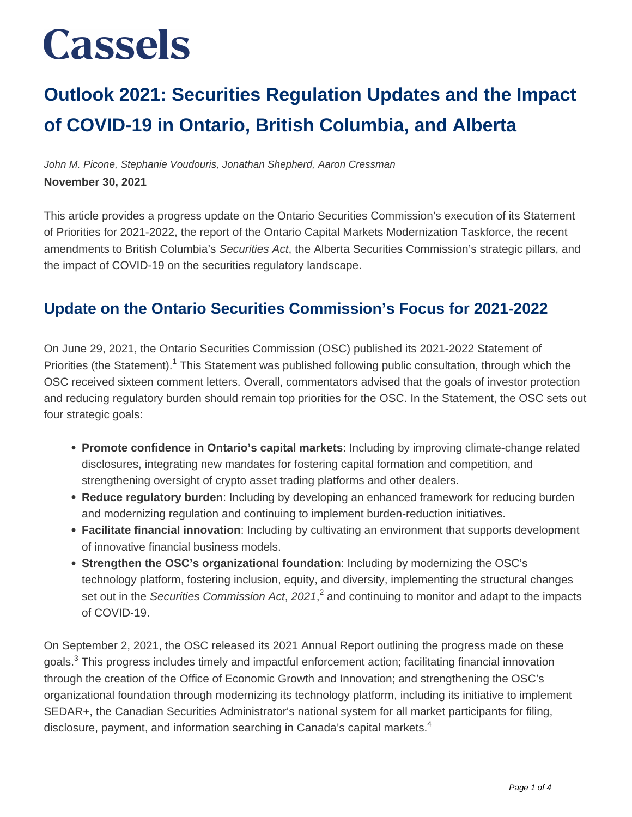## **Outlook 2021: Securities Regulation Updates and the Impact of COVID-19 in Ontario, British Columbia, and Alberta**

John M. Picone, Stephanie Voudouris, Jonathan Shepherd, Aaron Cressman **November 30, 2021**

This article provides a progress update on the Ontario Securities Commission's execution of its Statement of Priorities for 2021-2022, the report of the Ontario Capital Markets Modernization Taskforce, the recent amendments to British Columbia's Securities Act, the Alberta Securities Commission's strategic pillars, and the impact of COVID-19 on the securities regulatory landscape.

#### **Update on the Ontario Securities Commission's Focus for 2021-2022**

On June 29, 2021, the Ontario Securities Commission (OSC) published its 2021-2022 Statement of Priorities (the Statement).<sup>1</sup> This Statement was published following public consultation, through which the OSC received sixteen comment letters. Overall, commentators advised that the goals of investor protection and reducing regulatory burden should remain top priorities for the OSC. In the Statement, the OSC sets out four strategic goals:

- **Promote confidence in Ontario's capital markets**: Including by improving climate-change related disclosures, integrating new mandates for fostering capital formation and competition, and strengthening oversight of crypto asset trading platforms and other dealers.
- **Reduce regulatory burden**: Including by developing an enhanced framework for reducing burden and modernizing regulation and continuing to implement burden-reduction initiatives.
- **Facilitate financial innovation**: Including by cultivating an environment that supports development of innovative financial business models.
- **Strengthen the OSC's organizational foundation**: Including by modernizing the OSC's technology platform, fostering inclusion, equity, and diversity, implementing the structural changes set out in the Securities Commission Act, 2021,<sup>2</sup> and continuing to monitor and adapt to the impacts of COVID-19.

On September 2, 2021, the OSC released its 2021 Annual Report outlining the progress made on these goals. $^3$  This progress includes timely and impactful enforcement action; facilitating financial innovation through the creation of the Office of Economic Growth and Innovation; and strengthening the OSC's organizational foundation through modernizing its technology platform, including its initiative to implement SEDAR+, the Canadian Securities Administrator's national system for all market participants for filing, disclosure, payment, and information searching in Canada's capital markets. $4$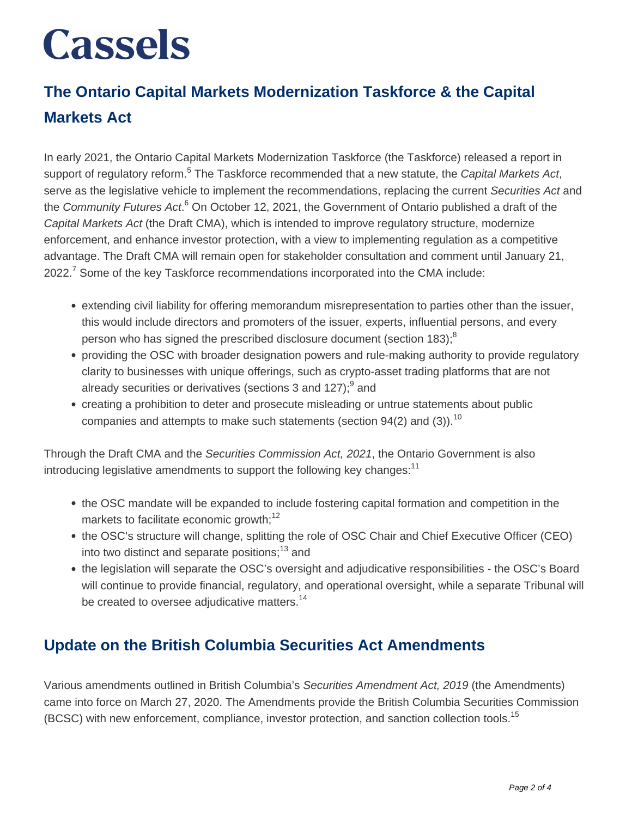### **The Ontario Capital Markets Modernization Taskforce & the Capital Markets Act**

In early 2021, the Ontario Capital Markets Modernization Taskforce (the Taskforce) released a report in support of regulatory reform.<sup>5</sup> The Taskforce recommended that a new statute, the Capital Markets Act, serve as the legislative vehicle to implement the recommendations, replacing the current Securities Act and the Community Futures Act.<sup>6</sup> On October 12, 2021, the Government of Ontario published a draft of the Capital Markets Act (the Draft CMA), which is intended to improve regulatory structure, modernize enforcement, and enhance investor protection, with a view to implementing regulation as a competitive advantage. The Draft CMA will remain open for stakeholder consultation and comment until January 21, 2022. $^7$  Some of the key Taskforce recommendations incorporated into the CMA include:

- extending civil liability for offering memorandum misrepresentation to parties other than the issuer, this would include directors and promoters of the issuer, experts, influential persons, and every person who has signed the prescribed disclosure document (section  $183$ );<sup>8</sup>
- providing the OSC with broader designation powers and rule-making authority to provide regulatory clarity to businesses with unique offerings, such as crypto-asset trading platforms that are not already securities or derivatives (sections 3 and 127);<sup>9</sup> and
- creating a prohibition to deter and prosecute misleading or untrue statements about public companies and attempts to make such statements (section  $94(2)$  and  $(3)$ ).<sup>10</sup>

Through the Draft CMA and the Securities Commission Act, 2021, the Ontario Government is also introducing legislative amendments to support the following key changes: $11$ 

- the OSC mandate will be expanded to include fostering capital formation and competition in the markets to facilitate economic growth: $12$
- the OSC's structure will change, splitting the role of OSC Chair and Chief Executive Officer (CEO) into two distinct and separate positions: $^{13}$  and
- the legislation will separate the OSC's oversight and adjudicative responsibilities the OSC's Board will continue to provide financial, regulatory, and operational oversight, while a separate Tribunal will be created to oversee adjudicative matters.<sup>14</sup>

#### **Update on the British Columbia Securities Act Amendments**

Various amendments outlined in British Columbia's Securities Amendment Act, 2019 (the Amendments) came into force on March 27, 2020. The Amendments provide the British Columbia Securities Commission (BCSC) with new enforcement, compliance, investor protection, and sanction collection tools.<sup>15</sup>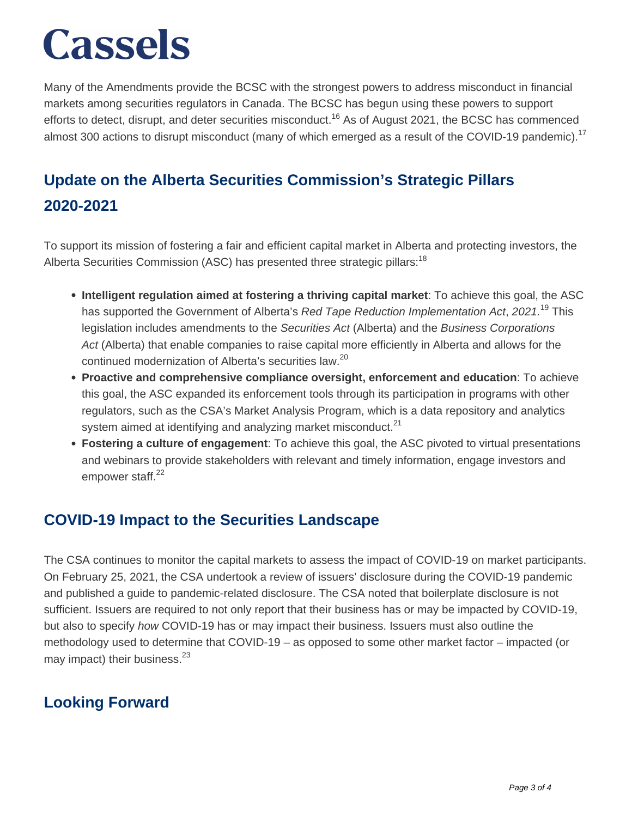Many of the Amendments provide the BCSC with the strongest powers to address misconduct in financial markets among securities regulators in Canada. The BCSC has begun using these powers to support efforts to detect, disrupt, and deter securities misconduct.<sup>16</sup> As of August 2021, the BCSC has commenced almost 300 actions to disrupt misconduct (many of which emerged as a result of the COVID-19 pandemic).<sup>17</sup>

### **Update on the Alberta Securities Commission's Strategic Pillars 2020-2021**

To support its mission of fostering a fair and efficient capital market in Alberta and protecting investors, the Alberta Securities Commission (ASC) has presented three strategic pillars:<sup>18</sup>

- **Intelligent regulation aimed at fostering a thriving capital market**: To achieve this goal, the ASC has supported the Government of Alberta's Red Tape Reduction Implementation Act, 2021.<sup>19</sup> This legislation includes amendments to the Securities Act (Alberta) and the Business Corporations Act (Alberta) that enable companies to raise capital more efficiently in Alberta and allows for the continued modernization of Alberta's securities law.<sup>20</sup>
- **Proactive and comprehensive compliance oversight, enforcement and education**: To achieve this goal, the ASC expanded its enforcement tools through its participation in programs with other regulators, such as the CSA's Market Analysis Program, which is a data repository and analytics system aimed at identifying and analyzing market misconduct.<sup>21</sup>
- **Fostering a culture of engagement**: To achieve this goal, the ASC pivoted to virtual presentations and webinars to provide stakeholders with relevant and timely information, engage investors and empower staff.<sup>22</sup>

#### **COVID-19 Impact to the Securities Landscape**

The CSA continues to monitor the capital markets to assess the impact of COVID-19 on market participants. On February 25, 2021, the CSA undertook a review of issuers' disclosure during the COVID-19 pandemic and published a guide to pandemic-related disclosure. The CSA noted that boilerplate disclosure is not sufficient. Issuers are required to not only report that their business has or may be impacted by COVID-19, but also to specify how COVID-19 has or may impact their business. Issuers must also outline the methodology used to determine that COVID-19 – as opposed to some other market factor – impacted (or may impact) their business.<sup>23</sup>

#### **Looking Forward**